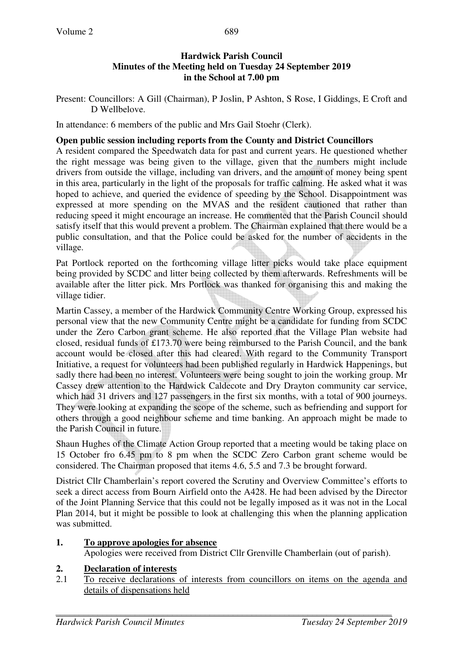#### **Hardwick Parish Council Minutes of the Meeting held on Tuesday 24 September 2019 in the School at 7.00 pm**

Present: Councillors: A Gill (Chairman), P Joslin, P Ashton, S Rose, I Giddings, E Croft and D Wellbelove.

In attendance: 6 members of the public and Mrs Gail Stoehr (Clerk).

#### **Open public session including reports from the County and District Councillors**

A resident compared the Speedwatch data for past and current years. He questioned whether the right message was being given to the village, given that the numbers might include drivers from outside the village, including van drivers, and the amount of money being spent in this area, particularly in the light of the proposals for traffic calming. He asked what it was hoped to achieve, and queried the evidence of speeding by the School. Disappointment was expressed at more spending on the MVAS and the resident cautioned that rather than reducing speed it might encourage an increase. He commented that the Parish Council should satisfy itself that this would prevent a problem. The Chairman explained that there would be a public consultation, and that the Police could be asked for the number of accidents in the village.

Pat Portlock reported on the forthcoming village litter picks would take place equipment being provided by SCDC and litter being collected by them afterwards. Refreshments will be available after the litter pick. Mrs Portlock was thanked for organising this and making the village tidier.

Martin Cassey, a member of the Hardwick Community Centre Working Group, expressed his personal view that the new Community Centre might be a candidate for funding from SCDC under the Zero Carbon grant scheme. He also reported that the Village Plan website had closed, residual funds of £173.70 were being reimbursed to the Parish Council, and the bank account would be closed after this had cleared. With regard to the Community Transport Initiative, a request for volunteers had been published regularly in Hardwick Happenings, but sadly there had been no interest. Volunteers were being sought to join the working group. Mr Cassey drew attention to the Hardwick Caldecote and Dry Drayton community car service, which had 31 drivers and 127 passengers in the first six months, with a total of 900 journeys. They were looking at expanding the scope of the scheme, such as befriending and support for others through a good neighbour scheme and time banking. An approach might be made to the Parish Council in future.

Shaun Hughes of the Climate Action Group reported that a meeting would be taking place on 15 October fro 6.45 pm to 8 pm when the SCDC Zero Carbon grant scheme would be considered. The Chairman proposed that items 4.6, 5.5 and 7.3 be brought forward.

District Cllr Chamberlain's report covered the Scrutiny and Overview Committee's efforts to seek a direct access from Bourn Airfield onto the A428. He had been advised by the Director of the Joint Planning Service that this could not be legally imposed as it was not in the Local Plan 2014, but it might be possible to look at challenging this when the planning application was submitted.

#### **1. To approve apologies for absence**

Apologies were received from District Cllr Grenville Chamberlain (out of parish).

#### **2. Declaration of interests**

2.1 To receive declarations of interests from councillors on items on the agenda and details of dispensations held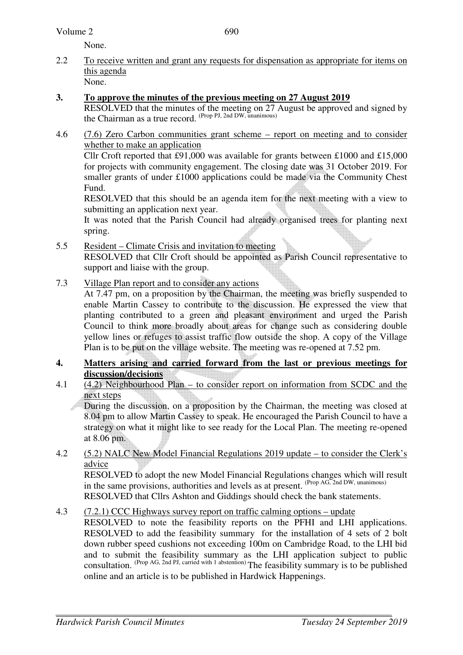#### Volume 2

None.

2.2 To receive written and grant any requests for dispensation as appropriate for items on this agenda None.

#### **3. To approve the minutes of the previous meeting on 27 August 2019**

 RESOLVED that the minutes of the meeting on 27 August be approved and signed by the Chairman as a true record. (Prop PJ, 2nd DW, unanimous)

4.6 (7.6) Zero Carbon communities grant scheme – report on meeting and to consider whether to make an application Cllr Croft reported that £91,000 was available for grants between £1000 and £15,000

for projects with community engagement. The closing date was 31 October 2019. For smaller grants of under £1000 applications could be made via the Community Chest Fund.

RESOLVED that this should be an agenda item for the next meeting with a view to submitting an application next year.

It was noted that the Parish Council had already organised trees for planting next spring.

- 5.5 Resident Climate Crisis and invitation to meeting RESOLVED that Cllr Croft should be appointed as Parish Council representative to support and liaise with the group.
- 7.3 Village Plan report and to consider any actions

At 7.47 pm, on a proposition by the Chairman, the meeting was briefly suspended to enable Martin Cassey to contribute to the discussion. He expressed the view that planting contributed to a green and pleasant environment and urged the Parish Council to think more broadly about areas for change such as considering double yellow lines or refuges to assist traffic flow outside the shop. A copy of the Village Plan is to be put on the village website. The meeting was re-opened at 7.52 pm.

- **4. Matters arising and carried forward from the last or previous meetings for discussion/decisions**
- 4.1 (4.2) Neighbourhood Plan to consider report on information from SCDC and the next steps

 During the discussion, on a proposition by the Chairman, the meeting was closed at 8.04 pm to allow Martin Cassey to speak. He encouraged the Parish Council to have a strategy on what it might like to see ready for the Local Plan. The meeting re-opened at 8.06 pm.

#### 4.2 (5.2) NALC New Model Financial Regulations 2019 update – to consider the Clerk's advice

RESOLVED to adopt the new Model Financial Regulations changes which will result in the same provisions, authorities and levels as at present. (Prop AG, 2nd DW, unanimous)

RESOLVED that Cllrs Ashton and Giddings should check the bank statements.

#### 4.3 (7.2.1) CCC Highways survey report on traffic calming options – update

RESOLVED to note the feasibility reports on the PFHI and LHI applications. RESOLVED to add the feasibility summary for the installation of 4 sets of 2 bolt down rubber speed cushions not exceeding 100m on Cambridge Road, to the LHI bid and to submit the feasibility summary as the LHI application subject to public consultation. (Prop AG, 2nd PJ, carried with 1 abstention) The feasibility summary is to be published online and an article is to be published in Hardwick Happenings.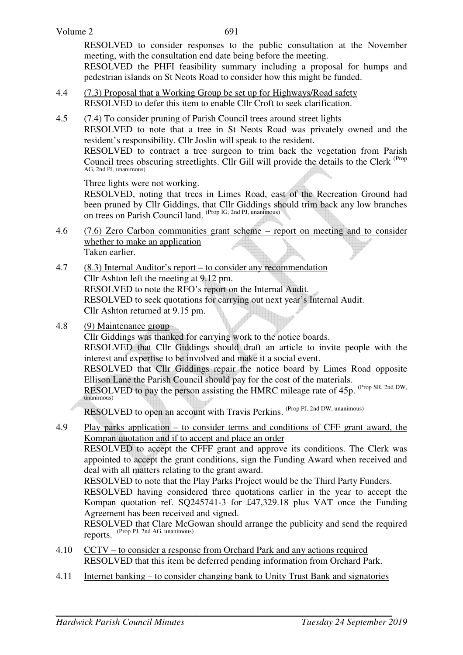RESOLVED to consider responses to the public consultation at the November meeting, with the consultation end date being before the meeting.

RESOLVED the PHFI feasibility summary including a proposal for humps and pedestrian islands on St Neots Road to consider how this might be funded.

- 4.4 (7.3) Proposal that a Working Group be set up for Highways/Road safety RESOLVED to defer this item to enable Cllr Croft to seek clarification.
- 4.5 (7.4) To consider pruning of Parish Council trees around street lights

RESOLVED to note that a tree in St Neots Road was privately owned and the resident's responsibility. Cllr Joslin will speak to the resident.

RESOLVED to contract a tree surgeon to trim back the vegetation from Parish Council trees obscuring streetlights. Cllr Gill will provide the details to the Clerk <sup>(Prop</sup>) AG, 2nd PJ, unanimous)

Three lights were not working.

RESOLVED, noting that trees in Limes Road, east of the Recreation Ground had been pruned by Cllr Giddings, that Cllr Giddings should trim back any low branches on trees on Parish Council land. (Prop IG, 2nd PJ, unanimous)

- 4.6 (7.6) Zero Carbon communities grant scheme report on meeting and to consider whether to make an application Taken earlier.
- 4.7 (8.3) Internal Auditor's report to consider any recommendation Cllr Ashton left the meeting at 9.12 pm. RESOLVED to note the RFO's report on the Internal Audit. RESOLVED to seek quotations for carrying out next year's Internal Audit. Cllr Ashton returned at 9.15 pm.
- 4.8 (9) Maintenance group

Cllr Giddings was thanked for carrying work to the notice boards.

 RESOLVED that Cllr Giddings should draft an article to invite people with the interest and expertise to be involved and make it a social event.

RESOLVED that Cllr Giddings repair the notice board by Limes Road opposite Ellison Lane the Parish Council should pay for the cost of the materials.

RESOLVED to pay the person assisting the HMRC mileage rate of 45p. (Prop SR, 2nd DW, unanimous)

RESOLVED to open an account with Travis Perkins. (Prop PJ, 2nd DW, unanimous)

4.9 Play parks application – to consider terms and conditions of CFF grant award, the Kompan quotation and if to accept and place an order

 RESOLVED to accept the CFFF grant and approve its conditions. The Clerk was appointed to accept the grant conditions, sign the Funding Award when received and deal with all matters relating to the grant award.

RESOLVED to note that the Play Parks Project would be the Third Party Funders.

RESOLVED having considered three quotations earlier in the year to accept the Kompan quotation ref. SQ245741-3 for £47,329.18 plus VAT once the Funding Agreement has been received and signed.

RESOLVED that Clare McGowan should arrange the publicity and send the required reports. (Prop PJ, 2nd AG, unanimous)

- 4.10 CCTV to consider a response from Orchard Park and any actions required RESOLVED that this item be deferred pending information from Orchard Park.
- 4.11 Internet banking to consider changing bank to Unity Trust Bank and signatories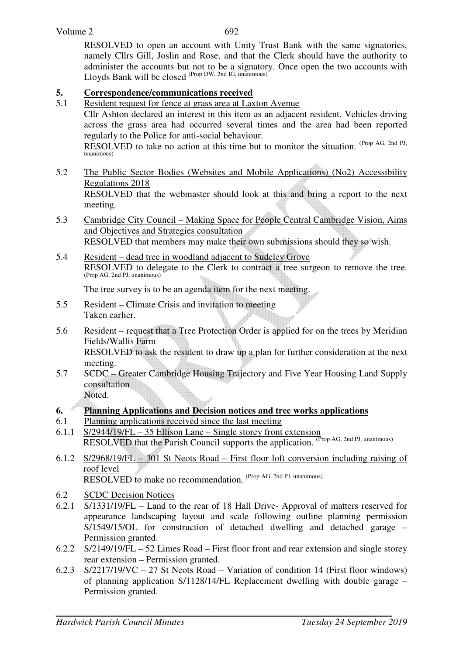RESOLVED to open an account with Unity Trust Bank with the same signatories, namely Cllrs Gill, Joslin and Rose, and that the Clerk should have the authority to administer the accounts but not to be a signatory. Once open the two accounts with Lloyds Bank will be closed (Prop DW, 2nd IG, unanimous)

# **5.** Correspondence/communications received<br>5.1 Resident request for fence at grass area at Lax

Resident request for fence at grass area at Laxton Avenue

Cllr Ashton declared an interest in this item as an adjacent resident. Vehicles driving across the grass area had occurred several times and the area had been reported regularly to the Police for anti-social behaviour.

RESOLVED to take no action at this time but to monitor the situation. (Prop AG, 2nd PJ, unanimous)

5.2 The Public Sector Bodies (Websites and Mobile Applications) (No2) Accessibility Regulations 2018 RESOLVED that the webmaster should look at this and bring a report to the next

meeting.

- 5.3 Cambridge City Council Making Space for People Central Cambridge Vision, Aims and Objectives and Strategies consultation RESOLVED that members may make their own submissions should they so wish.
- 5.4 Resident dead tree in woodland adjacent to Sudeley Grove RESOLVED to delegate to the Clerk to contract a tree surgeon to remove the tree. (Prop AG, 2nd PJ, unanimous)

The tree survey is to be an agenda item for the next meeting.

- 5.5 Resident Climate Crisis and invitation to meeting Taken earlier.
- 5.6 Resident request that a Tree Protection Order is applied for on the trees by Meridian Fields/Wallis Farm RESOLVED to ask the resident to draw up a plan for further consideration at the next meeting.
- 5.7 SCDC Greater Cambridge Housing Trajectory and Five Year Housing Land Supply consultation

Noted.

#### **6. Planning Applications and Decision notices and tree works applications**

- 6.1 Planning applications received since the last meeting
- 6.1.1 S/2944/19/FL 35 Ellison Lane Single storey front extension RESOLVED that the Parish Council supports the application. (Prop AG, 2nd PJ, unanimous)
- 6.1.2 S/2968/19/FL 301 St Neots Road First floor loft conversion including raising of roof level RESOLVED to make no recommendation. (Prop AG, 2nd PJ, unanimous)
- 6.2 SCDC Decision Notices
- 6.2.1 S/1331/19/FL Land to the rear of 18 Hall Drive- Approval of matters reserved for appearance landscaping layout and scale following outline planning permission S/1549/15/OL for construction of detached dwelling and detached garage – Permission granted.
- 6.2.2 S/2149/19/FL 52 Limes Road First floor front and rear extension and single storey rear extension – Permission granted.
- 6.2.3 S/2217/19/VC 27 St Neots Road Variation of condition 14 (First floor windows) of planning application S/1128/14/FL Replacement dwelling with double garage – Permission granted.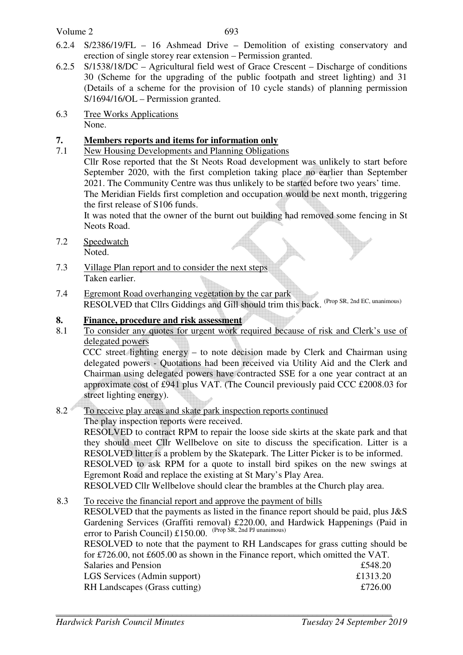#### Volume 2

- 6.2.4 S/2386/19/FL 16 Ashmead Drive Demolition of existing conservatory and erection of single storey rear extension – Permission granted.
- 6.2.5 S/1538/18/DC Agricultural field west of Grace Crescent Discharge of conditions 30 (Scheme for the upgrading of the public footpath and street lighting) and 31 (Details of a scheme for the provision of 10 cycle stands) of planning permission S/1694/16/OL – Permission granted.
- 6.3 Tree Works Applications None.

### **7. Members reports and items for information only**

7.1 New Housing Developments and Planning Obligations Cllr Rose reported that the St Neots Road development was unlikely to start before September 2020, with the first completion taking place no earlier than September 2021. The Community Centre was thus unlikely to be started before two years' time. The Meridian Fields first completion and occupation would be next month, triggering

the first release of S106 funds.

It was noted that the owner of the burnt out building had removed some fencing in St Neots Road.

- 7.2 Speedwatch Noted.
- 7.3 Village Plan report and to consider the next steps Taken earlier.
- 7.4 Egremont Road overhanging vegetation by the car park RESOLVED that Cllrs Giddings and Gill should trim this back. (Prop SR, 2nd EC, unanimous)

#### **8. Finance, procedure and risk assessment**

8.1 To consider any quotes for urgent work required because of risk and Clerk's use of delegated powers

CCC street lighting energy – to note decision made by Clerk and Chairman using delegated powers - Quotations had been received via Utility Aid and the Clerk and Chairman using delegated powers have contracted SSE for a one year contract at an approximate cost of £941 plus VAT. (The Council previously paid CCC £2008.03 for street lighting energy).

#### 8.2 To receive play areas and skate park inspection reports continued The play inspection reports were received.

RESOLVED to contract RPM to repair the loose side skirts at the skate park and that they should meet Cllr Wellbelove on site to discuss the specification. Litter is a RESOLVED litter is a problem by the Skatepark. The Litter Picker is to be informed. RESOLVED to ask RPM for a quote to install bird spikes on the new swings at Egremont Road and replace the existing at St Mary's Play Area. RESOLVED Cllr Wellbelove should clear the brambles at the Church play area.

## 8.3 To receive the financial report and approve the payment of bills

RESOLVED that the payments as listed in the finance report should be paid, plus J&S Gardening Services (Graffiti removal) £220.00, and Hardwick Happenings (Paid in error to Parish Council) £150.00. (Prop SR, 2nd PJ unanimous) RESOLVED to note that the payment to RH Landscapes for grass cutting should be

| for £726.00, not £605.00 as shown in the Finance report, which omitted the VAT. |          |
|---------------------------------------------------------------------------------|----------|
| <b>Salaries and Pension</b>                                                     | £548.20  |
| LGS Services (Admin support)                                                    | £1313.20 |
| RH Landscapes (Grass cutting)                                                   | £726.00  |